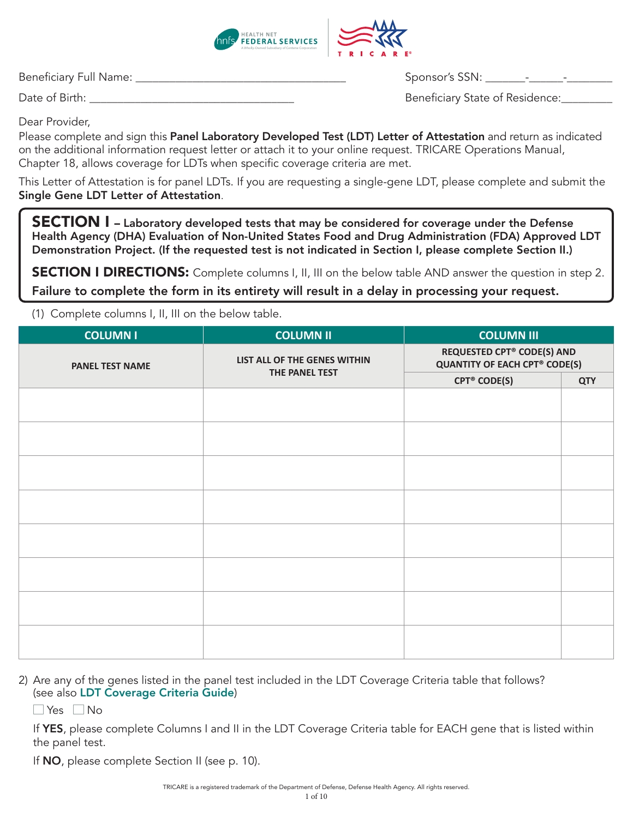

Beneficiary Full Name: \_\_\_\_\_\_\_\_\_\_\_\_\_\_\_\_\_\_\_\_\_\_\_\_\_\_\_\_\_\_\_\_\_\_\_\_\_ Sponsor's SSN: \_\_\_\_\_\_\_-\_\_\_\_\_\_-\_\_\_\_\_\_\_\_

Date of Birth: \_\_\_\_\_\_\_\_\_\_\_\_\_\_\_\_\_\_\_\_\_\_\_\_\_\_\_\_\_\_\_\_\_\_\_\_ Beneficiary State of Residence:\_\_\_\_\_\_\_\_\_

Dear Provider,

Please complete and sign this Panel Laboratory Developed Test (LDT) Letter of Attestation and return as indicated on the additional information request letter or attach it to your online request. TRICARE Operations Manual, Chapter 18, allows coverage for LDTs when specific coverage criteria are met.

This Letter of Attestation is for panel LDTs. If you are requesting a single-gene LDT, please complete and submit the Single Gene LDT Letter of Attestation.

SECTION I – Laboratory developed tests that may be considered for coverage under the Defense Health Agency (DHA) Evaluation of Non-United States Food and Drug Administration (FDA) Approved LDT Demonstration Project. (If the requested test is not indicated in Section I, please complete Section II.)

**SECTION I DIRECTIONS:** Complete columns I, II, III on the below table AND answer the question in step 2. Failure to complete the form in its entirety will result in a delay in processing your request.

(1) Complete columns I, II, III on the below table.

| <b>COLUMN II</b>             | <b>COLUMN III</b>              |                                                                           |
|------------------------------|--------------------------------|---------------------------------------------------------------------------|
| LIST ALL OF THE GENES WITHIN |                                |                                                                           |
|                              | <b>CPT<sup>®</sup> CODE(S)</b> | <b>QTY</b>                                                                |
|                              |                                |                                                                           |
|                              |                                |                                                                           |
|                              |                                |                                                                           |
|                              |                                |                                                                           |
|                              |                                |                                                                           |
|                              |                                |                                                                           |
|                              |                                |                                                                           |
|                              |                                |                                                                           |
|                              |                                |                                                                           |
|                              |                                |                                                                           |
|                              |                                |                                                                           |
|                              |                                |                                                                           |
|                              |                                |                                                                           |
|                              |                                |                                                                           |
|                              |                                |                                                                           |
|                              |                                |                                                                           |
|                              | THE PANEL TEST                 | <b>REQUESTED CPT® CODE(S) AND</b><br><b>QUANTITY OF EACH CPT® CODE(S)</b> |

2) Are any of the genes listed in the panel test included in the LDT Coverage Criteria table that follows? (see also [LDT Coverage Criteria Guide](https://www.tricare-west.com/content/dam/hnfs/tw/prov/auths/pdf/ldt-coverage-guide.pdf))

 $\Box$  Yes  $\Box$  No

If YES, please complete Columns I and II in the LDT Coverage Criteria table for EACH gene that is listed within the panel test.

If **NO**, please complete Section II (see p. 10).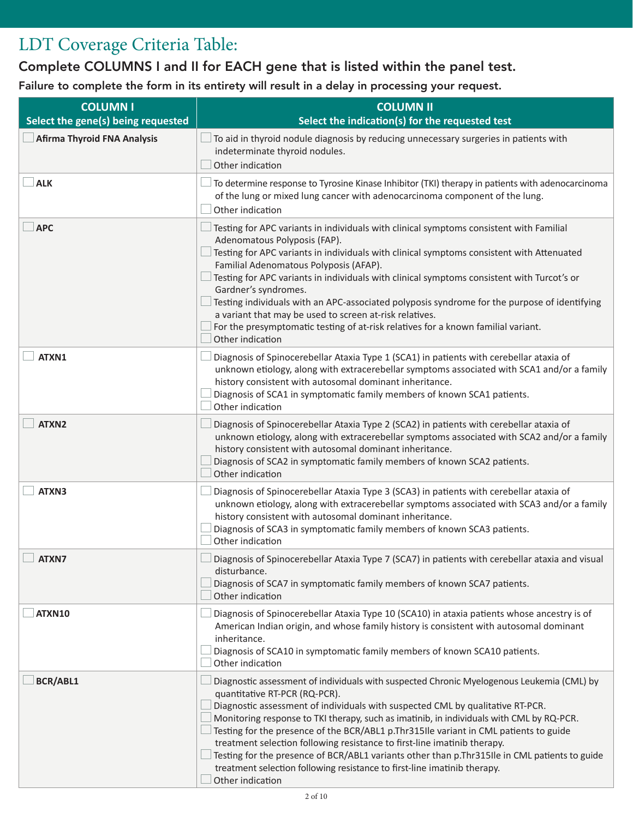## LDT Coverage Criteria Table:

Complete COLUMNS I and II for EACH gene that is listed within the panel test.

Failure to complete the form in its entirety will result in a delay in processing your request.

| <b>COLUMNI</b><br>Select the gene(s) being requested | <b>COLUMN II</b><br>Select the indication(s) for the requested test                                                                                                                                                                                                                                                                                                                                                                                                                                                                                                                                                                                                            |
|------------------------------------------------------|--------------------------------------------------------------------------------------------------------------------------------------------------------------------------------------------------------------------------------------------------------------------------------------------------------------------------------------------------------------------------------------------------------------------------------------------------------------------------------------------------------------------------------------------------------------------------------------------------------------------------------------------------------------------------------|
| <b>Afirma Thyroid FNA Analysis</b>                   | To aid in thyroid nodule diagnosis by reducing unnecessary surgeries in patients with<br>indeterminate thyroid nodules.<br>Other indication                                                                                                                                                                                                                                                                                                                                                                                                                                                                                                                                    |
| <b>ALK</b>                                           | To determine response to Tyrosine Kinase Inhibitor (TKI) therapy in patients with adenocarcinoma<br>of the lung or mixed lung cancer with adenocarcinoma component of the lung.<br>Other indication                                                                                                                                                                                                                                                                                                                                                                                                                                                                            |
| <b>APC</b>                                           | Testing for APC variants in individuals with clinical symptoms consistent with Familial<br>Adenomatous Polyposis (FAP).<br>Testing for APC variants in individuals with clinical symptoms consistent with Attenuated<br>Familial Adenomatous Polyposis (AFAP).<br>Testing for APC variants in individuals with clinical symptoms consistent with Turcot's or<br>Gardner's syndromes.<br>Testing individuals with an APC-associated polyposis syndrome for the purpose of identifying<br>a variant that may be used to screen at-risk relatives.<br>For the presymptomatic testing of at-risk relatives for a known familial variant.<br>Other indication                       |
| ATXN1                                                | Diagnosis of Spinocerebellar Ataxia Type 1 (SCA1) in patients with cerebellar ataxia of<br>unknown etiology, along with extracerebellar symptoms associated with SCA1 and/or a family<br>history consistent with autosomal dominant inheritance.<br>Diagnosis of SCA1 in symptomatic family members of known SCA1 patients.<br>Other indication                                                                                                                                                                                                                                                                                                                                |
| ATXN2                                                | Diagnosis of Spinocerebellar Ataxia Type 2 (SCA2) in patients with cerebellar ataxia of<br>unknown etiology, along with extracerebellar symptoms associated with SCA2 and/or a family<br>history consistent with autosomal dominant inheritance.<br>Diagnosis of SCA2 in symptomatic family members of known SCA2 patients.<br>Other indication                                                                                                                                                                                                                                                                                                                                |
| ATXN3                                                | Diagnosis of Spinocerebellar Ataxia Type 3 (SCA3) in patients with cerebellar ataxia of<br>unknown etiology, along with extracerebellar symptoms associated with SCA3 and/or a family<br>history consistent with autosomal dominant inheritance.<br>Diagnosis of SCA3 in symptomatic family members of known SCA3 patients.<br>Other indication                                                                                                                                                                                                                                                                                                                                |
| $\Box$ ATXN7                                         | $\Box$ Diagnosis of Spinocerebellar Ataxia Type 7 (SCA7) in patients with cerebellar ataxia and visual<br>disturbance.<br>Diagnosis of SCA7 in symptomatic family members of known SCA7 patients.<br>Other indication                                                                                                                                                                                                                                                                                                                                                                                                                                                          |
| <b>ATXN10</b>                                        | Diagnosis of Spinocerebellar Ataxia Type 10 (SCA10) in ataxia patients whose ancestry is of<br>American Indian origin, and whose family history is consistent with autosomal dominant<br>inheritance.<br>Diagnosis of SCA10 in symptomatic family members of known SCA10 patients.<br>Other indication                                                                                                                                                                                                                                                                                                                                                                         |
| <b>BCR/ABL1</b>                                      | Diagnostic assessment of individuals with suspected Chronic Myelogenous Leukemia (CML) by<br>quantitative RT-PCR (RQ-PCR).<br>Diagnostic assessment of individuals with suspected CML by qualitative RT-PCR.<br>Monitoring response to TKI therapy, such as imatinib, in individuals with CML by RQ-PCR.<br>Testing for the presence of the BCR/ABL1 p.Thr315Ile variant in CML patients to guide<br>treatment selection following resistance to first-line imatinib therapy.<br>Testing for the presence of BCR/ABL1 variants other than p.Thr315lle in CML patients to guide<br>treatment selection following resistance to first-line imatinib therapy.<br>Other indication |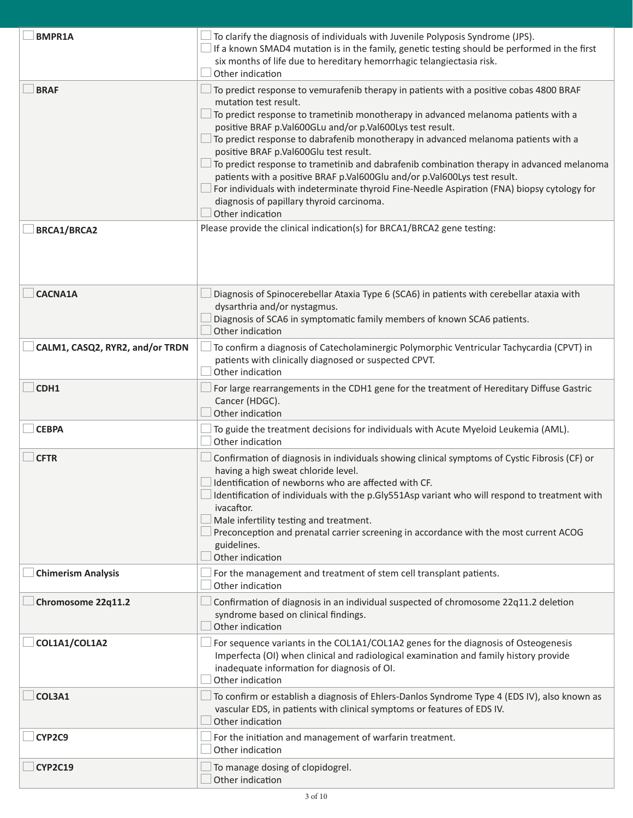| <b>BMPR1A</b>                   | To clarify the diagnosis of individuals with Juvenile Polyposis Syndrome (JPS).<br>If a known SMAD4 mutation is in the family, genetic testing should be performed in the first<br>six months of life due to hereditary hemorrhagic telangiectasia risk.<br>Other indication                                                                                                                                                                                                                                                                                                                                                                                                                                                                 |
|---------------------------------|----------------------------------------------------------------------------------------------------------------------------------------------------------------------------------------------------------------------------------------------------------------------------------------------------------------------------------------------------------------------------------------------------------------------------------------------------------------------------------------------------------------------------------------------------------------------------------------------------------------------------------------------------------------------------------------------------------------------------------------------|
| <b>BRAF</b>                     | To predict response to vemurafenib therapy in patients with a positive cobas 4800 BRAF<br>mutation test result.<br>To predict response to trametinib monotherapy in advanced melanoma patients with a<br>positive BRAF p.Val600GLu and/or p.Val600Lys test result.<br>To predict response to dabrafenib monotherapy in advanced melanoma patients with a<br>positive BRAF p.Val600Glu test result.<br>To predict response to trametinib and dabrafenib combination therapy in advanced melanoma<br>patients with a positive BRAF p.Val600Glu and/or p.Val600Lys test result.<br>For individuals with indeterminate thyroid Fine-Needle Aspiration (FNA) biopsy cytology for<br>diagnosis of papillary thyroid carcinoma.<br>Other indication |
| <b>BRCA1/BRCA2</b>              | Please provide the clinical indication(s) for BRCA1/BRCA2 gene testing:                                                                                                                                                                                                                                                                                                                                                                                                                                                                                                                                                                                                                                                                      |
| <b>CACNA1A</b>                  | Diagnosis of Spinocerebellar Ataxia Type 6 (SCA6) in patients with cerebellar ataxia with<br>dysarthria and/or nystagmus.<br>Diagnosis of SCA6 in symptomatic family members of known SCA6 patients.<br>Other indication                                                                                                                                                                                                                                                                                                                                                                                                                                                                                                                     |
| CALM1, CASQ2, RYR2, and/or TRDN | To confirm a diagnosis of Catecholaminergic Polymorphic Ventricular Tachycardia (CPVT) in<br>patients with clinically diagnosed or suspected CPVT.<br>Other indication                                                                                                                                                                                                                                                                                                                                                                                                                                                                                                                                                                       |
| CDH1                            | For large rearrangements in the CDH1 gene for the treatment of Hereditary Diffuse Gastric<br>Cancer (HDGC).<br>Other indication                                                                                                                                                                                                                                                                                                                                                                                                                                                                                                                                                                                                              |
| <b>CEBPA</b>                    | To guide the treatment decisions for individuals with Acute Myeloid Leukemia (AML).<br>Other indication                                                                                                                                                                                                                                                                                                                                                                                                                                                                                                                                                                                                                                      |
| <b>CFTR</b>                     | Confirmation of diagnosis in individuals showing clinical symptoms of Cystic Fibrosis (CF) or<br>having a high sweat chloride level.<br>Identification of newborns who are affected with CF.<br>Identification of individuals with the p.Gly551Asp variant who will respond to treatment with<br>ivacaftor.<br>Male infertility testing and treatment.<br>Preconception and prenatal carrier screening in accordance with the most current ACOG<br>guidelines.<br>Other indication                                                                                                                                                                                                                                                           |
| <b>Chimerism Analysis</b>       | For the management and treatment of stem cell transplant patients.<br>Other indication                                                                                                                                                                                                                                                                                                                                                                                                                                                                                                                                                                                                                                                       |
| Chromosome 22q11.2              | Confirmation of diagnosis in an individual suspected of chromosome 22q11.2 deletion<br>syndrome based on clinical findings.<br>Other indication                                                                                                                                                                                                                                                                                                                                                                                                                                                                                                                                                                                              |
| COL1A1/COL1A2                   | For sequence variants in the COL1A1/COL1A2 genes for the diagnosis of Osteogenesis<br>Imperfecta (OI) when clinical and radiological examination and family history provide<br>inadequate information for diagnosis of OI.<br>Other indication                                                                                                                                                                                                                                                                                                                                                                                                                                                                                               |
| COL3A1                          | To confirm or establish a diagnosis of Ehlers-Danlos Syndrome Type 4 (EDS IV), also known as<br>vascular EDS, in patients with clinical symptoms or features of EDS IV.<br>Other indication                                                                                                                                                                                                                                                                                                                                                                                                                                                                                                                                                  |
| CYP2C9                          | For the initiation and management of warfarin treatment.<br>Other indication                                                                                                                                                                                                                                                                                                                                                                                                                                                                                                                                                                                                                                                                 |
| <b>CYP2C19</b>                  | To manage dosing of clopidogrel.<br>Other indication                                                                                                                                                                                                                                                                                                                                                                                                                                                                                                                                                                                                                                                                                         |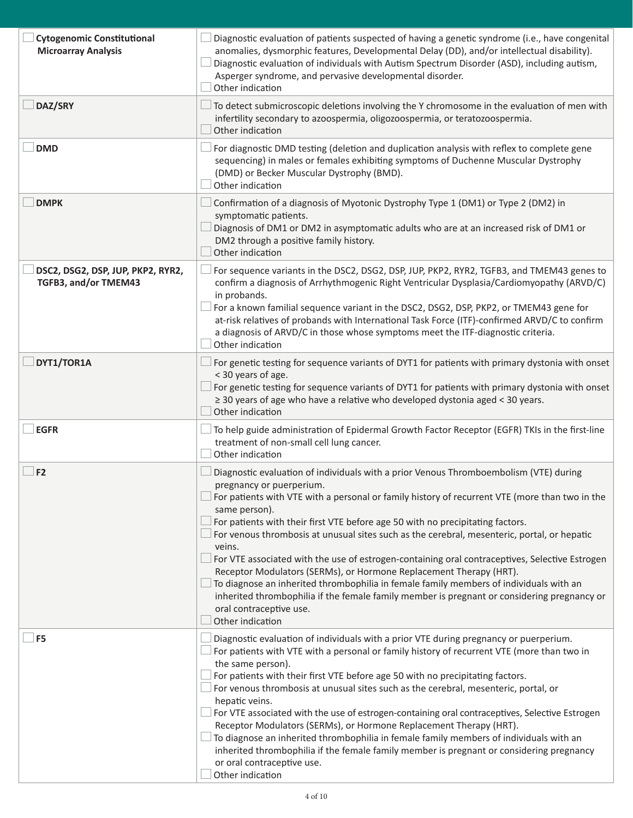| <b>Cytogenomic Constitutional</b><br><b>Microarray Analysis</b> | Diagnostic evaluation of patients suspected of having a genetic syndrome (i.e., have congenital<br>anomalies, dysmorphic features, Developmental Delay (DD), and/or intellectual disability).<br>Diagnostic evaluation of individuals with Autism Spectrum Disorder (ASD), including autism,<br>Asperger syndrome, and pervasive developmental disorder.<br>Other indication                                                                                                                                                                                                                                                                                                                                                                                                                                                                    |
|-----------------------------------------------------------------|-------------------------------------------------------------------------------------------------------------------------------------------------------------------------------------------------------------------------------------------------------------------------------------------------------------------------------------------------------------------------------------------------------------------------------------------------------------------------------------------------------------------------------------------------------------------------------------------------------------------------------------------------------------------------------------------------------------------------------------------------------------------------------------------------------------------------------------------------|
| DAZ/SRY                                                         | To detect submicroscopic deletions involving the Y chromosome in the evaluation of men with<br>infertility secondary to azoospermia, oligozoospermia, or teratozoospermia.<br>Other indication                                                                                                                                                                                                                                                                                                                                                                                                                                                                                                                                                                                                                                                  |
| <b>DMD</b>                                                      | For diagnostic DMD testing (deletion and duplication analysis with reflex to complete gene<br>sequencing) in males or females exhibiting symptoms of Duchenne Muscular Dystrophy<br>(DMD) or Becker Muscular Dystrophy (BMD).<br>Other indication                                                                                                                                                                                                                                                                                                                                                                                                                                                                                                                                                                                               |
| <b>DMPK</b>                                                     | Confirmation of a diagnosis of Myotonic Dystrophy Type 1 (DM1) or Type 2 (DM2) in<br>symptomatic patients.<br>Diagnosis of DM1 or DM2 in asymptomatic adults who are at an increased risk of DM1 or<br>DM2 through a positive family history.<br>Other indication                                                                                                                                                                                                                                                                                                                                                                                                                                                                                                                                                                               |
| DSC2, DSG2, DSP, JUP, PKP2, RYR2,<br>TGFB3, and/or TMEM43       | For sequence variants in the DSC2, DSG2, DSP, JUP, PKP2, RYR2, TGFB3, and TMEM43 genes to<br>confirm a diagnosis of Arrhythmogenic Right Ventricular Dysplasia/Cardiomyopathy (ARVD/C)<br>in probands.<br>For a known familial sequence variant in the DSC2, DSG2, DSP, PKP2, or TMEM43 gene for<br>at-risk relatives of probands with International Task Force (ITF)-confirmed ARVD/C to confirm<br>a diagnosis of ARVD/C in those whose symptoms meet the ITF-diagnostic criteria.<br>Other indication                                                                                                                                                                                                                                                                                                                                        |
| DYT1/TOR1A                                                      | For genetic testing for sequence variants of DYT1 for patients with primary dystonia with onset<br>< 30 years of age.<br>For genetic testing for sequence variants of DYT1 for patients with primary dystonia with onset<br>$\geq$ 30 years of age who have a relative who developed dystonia aged < 30 years.<br>Other indication                                                                                                                                                                                                                                                                                                                                                                                                                                                                                                              |
| <b>EGFR</b>                                                     | To help guide administration of Epidermal Growth Factor Receptor (EGFR) TKIs in the first-line<br>treatment of non-small cell lung cancer.<br>Other indication                                                                                                                                                                                                                                                                                                                                                                                                                                                                                                                                                                                                                                                                                  |
| F2                                                              | Diagnostic evaluation of individuals with a prior Venous Thromboembolism (VTE) during<br>pregnancy or puerperium.<br>For patients with VTE with a personal or family history of recurrent VTE (more than two in the<br>same person).<br>For patients with their first VTE before age 50 with no precipitating factors.<br>For venous thrombosis at unusual sites such as the cerebral, mesenteric, portal, or hepatic<br>veins.<br>For VTE associated with the use of estrogen-containing oral contraceptives, Selective Estrogen<br>Receptor Modulators (SERMs), or Hormone Replacement Therapy (HRT).<br>To diagnose an inherited thrombophilia in female family members of individuals with an<br>inherited thrombophilia if the female family member is pregnant or considering pregnancy or<br>oral contraceptive use.<br>Other indication |
| F <sub>5</sub>                                                  | Diagnostic evaluation of individuals with a prior VTE during pregnancy or puerperium.<br>For patients with VTE with a personal or family history of recurrent VTE (more than two in<br>the same person).<br>For patients with their first VTE before age 50 with no precipitating factors.<br>For venous thrombosis at unusual sites such as the cerebral, mesenteric, portal, or<br>hepatic veins.<br>For VTE associated with the use of estrogen-containing oral contraceptives, Selective Estrogen<br>Receptor Modulators (SERMs), or Hormone Replacement Therapy (HRT).<br>To diagnose an inherited thrombophilia in female family members of individuals with an<br>inherited thrombophilia if the female family member is pregnant or considering pregnancy<br>or oral contraceptive use.<br>Other indication                             |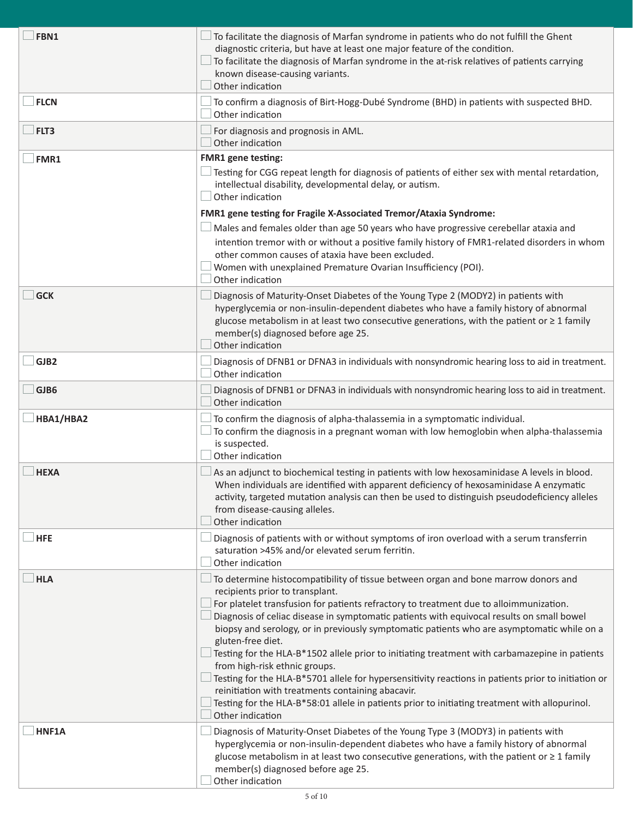| FBN1        | To facilitate the diagnosis of Marfan syndrome in patients who do not fulfill the Ghent<br>diagnostic criteria, but have at least one major feature of the condition.<br>To facilitate the diagnosis of Marfan syndrome in the at-risk relatives of patients carrying<br>known disease-causing variants.<br>Other indication                                                                                                                                                                                                                                                                                                                                                                                                   |
|-------------|--------------------------------------------------------------------------------------------------------------------------------------------------------------------------------------------------------------------------------------------------------------------------------------------------------------------------------------------------------------------------------------------------------------------------------------------------------------------------------------------------------------------------------------------------------------------------------------------------------------------------------------------------------------------------------------------------------------------------------|
| <b>FLCN</b> | To confirm a diagnosis of Birt-Hogg-Dubé Syndrome (BHD) in patients with suspected BHD.<br>Other indication                                                                                                                                                                                                                                                                                                                                                                                                                                                                                                                                                                                                                    |
| FLT3        | For diagnosis and prognosis in AML.<br>Other indication                                                                                                                                                                                                                                                                                                                                                                                                                                                                                                                                                                                                                                                                        |
| FMR1        | <b>FMR1</b> gene testing:                                                                                                                                                                                                                                                                                                                                                                                                                                                                                                                                                                                                                                                                                                      |
|             | Testing for CGG repeat length for diagnosis of patients of either sex with mental retardation,<br>intellectual disability, developmental delay, or autism.<br>Other indication                                                                                                                                                                                                                                                                                                                                                                                                                                                                                                                                                 |
|             | FMR1 gene testing for Fragile X-Associated Tremor/Ataxia Syndrome:                                                                                                                                                                                                                                                                                                                                                                                                                                                                                                                                                                                                                                                             |
|             | Males and females older than age 50 years who have progressive cerebellar ataxia and                                                                                                                                                                                                                                                                                                                                                                                                                                                                                                                                                                                                                                           |
|             | intention tremor with or without a positive family history of FMR1-related disorders in whom<br>other common causes of ataxia have been excluded.<br>Women with unexplained Premature Ovarian Insufficiency (POI).<br>Other indication                                                                                                                                                                                                                                                                                                                                                                                                                                                                                         |
| <b>GCK</b>  | Diagnosis of Maturity-Onset Diabetes of the Young Type 2 (MODY2) in patients with<br>hyperglycemia or non-insulin-dependent diabetes who have a family history of abnormal<br>glucose metabolism in at least two consecutive generations, with the patient or $\geq 1$ family<br>member(s) diagnosed before age 25.<br>Other indication                                                                                                                                                                                                                                                                                                                                                                                        |
| GJB2        | Diagnosis of DFNB1 or DFNA3 in individuals with nonsyndromic hearing loss to aid in treatment.<br>Other indication                                                                                                                                                                                                                                                                                                                                                                                                                                                                                                                                                                                                             |
| GJB6        | Diagnosis of DFNB1 or DFNA3 in individuals with nonsyndromic hearing loss to aid in treatment.<br>Other indication                                                                                                                                                                                                                                                                                                                                                                                                                                                                                                                                                                                                             |
| HBA1/HBA2   | To confirm the diagnosis of alpha-thalassemia in a symptomatic individual.<br>To confirm the diagnosis in a pregnant woman with low hemoglobin when alpha-thalassemia<br>is suspected.<br>Other indication                                                                                                                                                                                                                                                                                                                                                                                                                                                                                                                     |
| <b>HEXA</b> | As an adjunct to biochemical testing in patients with low hexosaminidase A levels in blood.<br>When individuals are identified with apparent deficiency of hexosaminidase A enzymatic<br>activity, targeted mutation analysis can then be used to distinguish pseudodeficiency alleles<br>from disease-causing alleles.<br>Other indication                                                                                                                                                                                                                                                                                                                                                                                    |
| <b>HFE</b>  | Diagnosis of patients with or without symptoms of iron overload with a serum transferrin<br>saturation >45% and/or elevated serum ferritin.<br>Other indication                                                                                                                                                                                                                                                                                                                                                                                                                                                                                                                                                                |
| <b>HLA</b>  | To determine histocompatibility of tissue between organ and bone marrow donors and<br>recipients prior to transplant.<br>For platelet transfusion for patients refractory to treatment due to alloimmunization.<br>Diagnosis of celiac disease in symptomatic patients with equivocal results on small bowel<br>biopsy and serology, or in previously symptomatic patients who are asymptomatic while on a<br>gluten-free diet.<br>Testing for the HLA-B*1502 allele prior to initiating treatment with carbamazepine in patients<br>from high-risk ethnic groups.<br>Testing for the HLA-B*5701 allele for hypersensitivity reactions in patients prior to initiation or<br>reinitiation with treatments containing abacavir. |
|             | Testing for the HLA-B*58:01 allele in patients prior to initiating treatment with allopurinol.<br>Other indication                                                                                                                                                                                                                                                                                                                                                                                                                                                                                                                                                                                                             |
| HNF1A       | Diagnosis of Maturity-Onset Diabetes of the Young Type 3 (MODY3) in patients with<br>hyperglycemia or non-insulin-dependent diabetes who have a family history of abnormal<br>glucose metabolism in at least two consecutive generations, with the patient or $\geq 1$ family<br>member(s) diagnosed before age 25.<br>Other indication                                                                                                                                                                                                                                                                                                                                                                                        |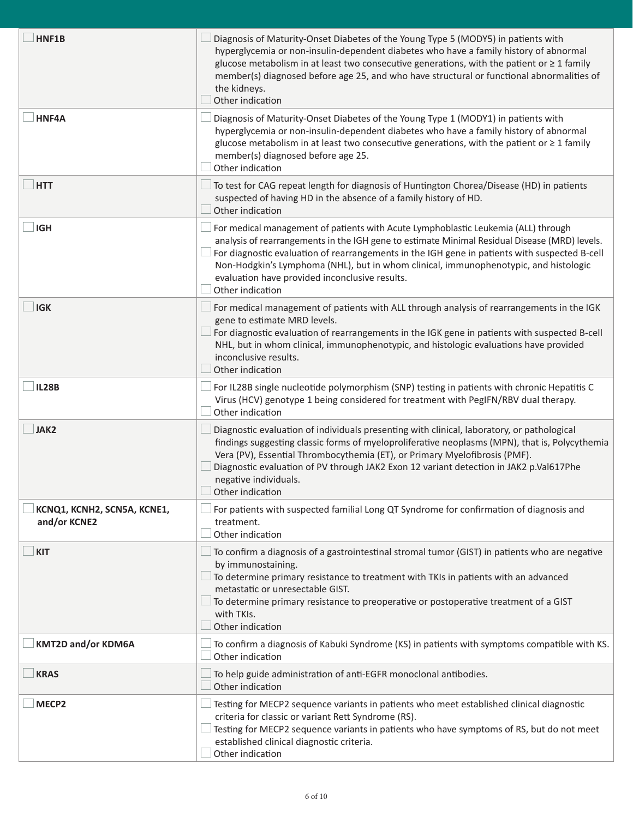| HNF1B                                       | Diagnosis of Maturity-Onset Diabetes of the Young Type 5 (MODY5) in patients with<br>hyperglycemia or non-insulin-dependent diabetes who have a family history of abnormal<br>glucose metabolism in at least two consecutive generations, with the patient or $\geq 1$ family<br>member(s) diagnosed before age 25, and who have structural or functional abnormalities of<br>the kidneys.<br>Other indication                                     |
|---------------------------------------------|----------------------------------------------------------------------------------------------------------------------------------------------------------------------------------------------------------------------------------------------------------------------------------------------------------------------------------------------------------------------------------------------------------------------------------------------------|
| HNF4A                                       | Diagnosis of Maturity-Onset Diabetes of the Young Type 1 (MODY1) in patients with<br>hyperglycemia or non-insulin-dependent diabetes who have a family history of abnormal<br>glucose metabolism in at least two consecutive generations, with the patient or ≥ 1 family<br>member(s) diagnosed before age 25.<br>Other indication                                                                                                                 |
| <b>HTT</b>                                  | To test for CAG repeat length for diagnosis of Huntington Chorea/Disease (HD) in patients<br>suspected of having HD in the absence of a family history of HD.<br>Other indication                                                                                                                                                                                                                                                                  |
| <b>IGH</b>                                  | For medical management of patients with Acute Lymphoblastic Leukemia (ALL) through<br>analysis of rearrangements in the IGH gene to estimate Minimal Residual Disease (MRD) levels.<br>For diagnostic evaluation of rearrangements in the IGH gene in patients with suspected B-cell<br>Non-Hodgkin's Lymphoma (NHL), but in whom clinical, immunophenotypic, and histologic<br>evaluation have provided inconclusive results.<br>Other indication |
| <b>IGK</b>                                  | For medical management of patients with ALL through analysis of rearrangements in the IGK<br>gene to estimate MRD levels.<br>For diagnostic evaluation of rearrangements in the IGK gene in patients with suspected B-cell<br>NHL, but in whom clinical, immunophenotypic, and histologic evaluations have provided<br>inconclusive results.<br>Other indication                                                                                   |
| <b>IL28B</b>                                | For IL28B single nucleotide polymorphism (SNP) testing in patients with chronic Hepatitis C<br>Virus (HCV) genotype 1 being considered for treatment with PegIFN/RBV dual therapy.<br>Other indication                                                                                                                                                                                                                                             |
| <b>JAK2</b>                                 | Diagnostic evaluation of individuals presenting with clinical, laboratory, or pathological<br>findings suggesting classic forms of myeloproliferative neoplasms (MPN), that is, Polycythemia<br>Vera (PV), Essential Thrombocythemia (ET), or Primary Myelofibrosis (PMF).<br>Diagnostic evaluation of PV through JAK2 Exon 12 variant detection in JAK2 p.Val617Phe<br>negative individuals.<br>$\Box$ Other indication                           |
| KCNQ1, KCNH2, SCN5A, KCNE1,<br>and/or KCNE2 | For patients with suspected familial Long QT Syndrome for confirmation of diagnosis and<br>treatment.<br>Other indication                                                                                                                                                                                                                                                                                                                          |
| <b>KIT</b>                                  | To confirm a diagnosis of a gastrointestinal stromal tumor (GIST) in patients who are negative<br>by immunostaining.<br>To determine primary resistance to treatment with TKIs in patients with an advanced<br>metastatic or unresectable GIST.<br>To determine primary resistance to preoperative or postoperative treatment of a GIST<br>with TKIs.<br>Other indication                                                                          |
| <b>KMT2D and/or KDM6A</b>                   | To confirm a diagnosis of Kabuki Syndrome (KS) in patients with symptoms compatible with KS.<br>Other indication                                                                                                                                                                                                                                                                                                                                   |
| <b>KRAS</b>                                 | To help guide administration of anti-EGFR monoclonal antibodies.<br>Other indication                                                                                                                                                                                                                                                                                                                                                               |
| MECP <sub>2</sub>                           | Testing for MECP2 sequence variants in patients who meet established clinical diagnostic<br>criteria for classic or variant Rett Syndrome (RS).<br>Testing for MECP2 sequence variants in patients who have symptoms of RS, but do not meet<br>established clinical diagnostic criteria.<br>Other indication                                                                                                                                       |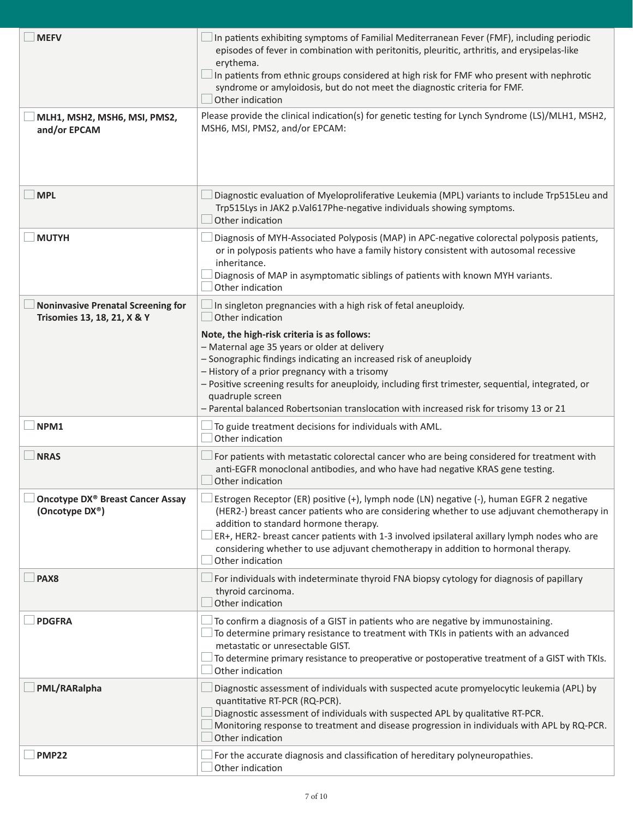| <b>MEFV</b>                                                              | In patients exhibiting symptoms of Familial Mediterranean Fever (FMF), including periodic<br>episodes of fever in combination with peritonitis, pleuritic, arthritis, and erysipelas-like<br>erythema.<br>In patients from ethnic groups considered at high risk for FMF who present with nephrotic<br>syndrome or amyloidosis, but do not meet the diagnostic criteria for FMF.<br>Other indication                                     |
|--------------------------------------------------------------------------|------------------------------------------------------------------------------------------------------------------------------------------------------------------------------------------------------------------------------------------------------------------------------------------------------------------------------------------------------------------------------------------------------------------------------------------|
| MLH1, MSH2, MSH6, MSI, PMS2,<br>and/or EPCAM                             | Please provide the clinical indication(s) for genetic testing for Lynch Syndrome (LS)/MLH1, MSH2,<br>MSH6, MSI, PMS2, and/or EPCAM:                                                                                                                                                                                                                                                                                                      |
| <b>MPL</b>                                                               | Diagnostic evaluation of Myeloproliferative Leukemia (MPL) variants to include Trp515Leu and<br>Trp515Lys in JAK2 p.Val617Phe-negative individuals showing symptoms.<br>Other indication                                                                                                                                                                                                                                                 |
| <b>MUTYH</b>                                                             | Diagnosis of MYH-Associated Polyposis (MAP) in APC-negative colorectal polyposis patients,<br>or in polyposis patients who have a family history consistent with autosomal recessive<br>inheritance.<br>Diagnosis of MAP in asymptomatic siblings of patients with known MYH variants.<br>Other indication                                                                                                                               |
| <b>Noninvasive Prenatal Screening for</b><br>Trisomies 13, 18, 21, X & Y | In singleton pregnancies with a high risk of fetal aneuploidy.<br>Other indication                                                                                                                                                                                                                                                                                                                                                       |
|                                                                          | Note, the high-risk criteria is as follows:<br>- Maternal age 35 years or older at delivery<br>- Sonographic findings indicating an increased risk of aneuploidy<br>- History of a prior pregnancy with a trisomy<br>- Positive screening results for aneuploidy, including first trimester, sequential, integrated, or<br>quadruple screen<br>- Parental balanced Robertsonian translocation with increased risk for trisomy 13 or 21   |
| NPM1                                                                     | To guide treatment decisions for individuals with AML.<br>Other indication                                                                                                                                                                                                                                                                                                                                                               |
| <b>NRAS</b>                                                              | For patients with metastatic colorectal cancer who are being considered for treatment with<br>anti-EGFR monoclonal antibodies, and who have had negative KRAS gene testing.<br>Other indication                                                                                                                                                                                                                                          |
| Oncotype DX® Breast Cancer Assay<br>(Oncotype DX®)                       | Estrogen Receptor (ER) positive (+), lymph node (LN) negative (-), human EGFR 2 negative<br>(HER2-) breast cancer patients who are considering whether to use adjuvant chemotherapy in<br>addition to standard hormone therapy.<br>ER+, HER2- breast cancer patients with 1-3 involved ipsilateral axillary lymph nodes who are<br>considering whether to use adjuvant chemotherapy in addition to hormonal therapy.<br>Other indication |
| PAX8                                                                     | For individuals with indeterminate thyroid FNA biopsy cytology for diagnosis of papillary<br>thyroid carcinoma.<br>Other indication                                                                                                                                                                                                                                                                                                      |
| <b>PDGFRA</b>                                                            | To confirm a diagnosis of a GIST in patients who are negative by immunostaining.<br>To determine primary resistance to treatment with TKIs in patients with an advanced<br>metastatic or unresectable GIST.<br>To determine primary resistance to preoperative or postoperative treatment of a GIST with TKIs.<br>Other indication                                                                                                       |
| PML/RARalpha                                                             | Diagnostic assessment of individuals with suspected acute promyelocytic leukemia (APL) by<br>quantitative RT-PCR (RQ-PCR).<br>Diagnostic assessment of individuals with suspected APL by qualitative RT-PCR.<br>Monitoring response to treatment and disease progression in individuals with APL by RQ-PCR.<br>Other indication                                                                                                          |
| <b>PMP22</b>                                                             | For the accurate diagnosis and classification of hereditary polyneuropathies.<br>Other indication                                                                                                                                                                                                                                                                                                                                        |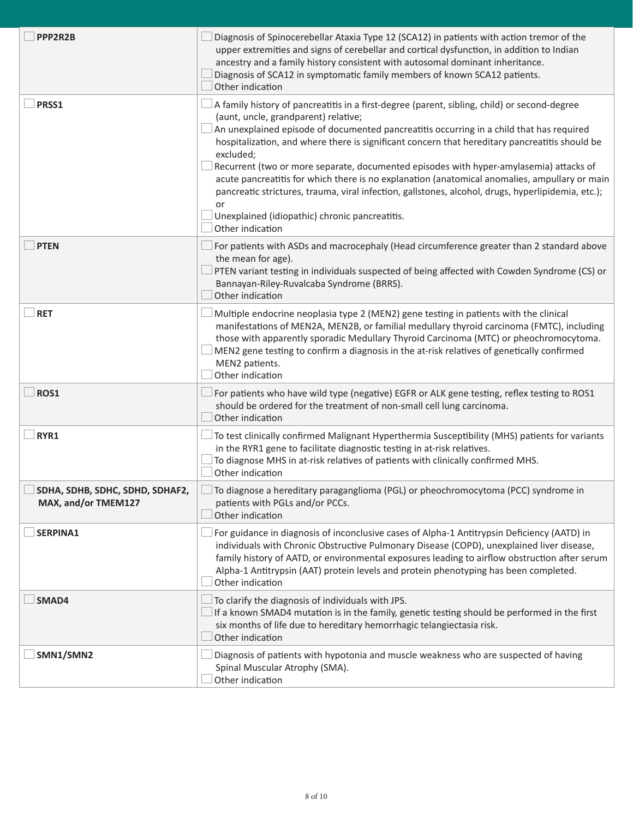| PPP2R2B                                                | Diagnosis of Spinocerebellar Ataxia Type 12 (SCA12) in patients with action tremor of the<br>upper extremities and signs of cerebellar and cortical dysfunction, in addition to Indian<br>ancestry and a family history consistent with autosomal dominant inheritance.<br>Diagnosis of SCA12 in symptomatic family members of known SCA12 patients.<br>Other indication                                                                                                                                                                                                                                                                                                                                                     |
|--------------------------------------------------------|------------------------------------------------------------------------------------------------------------------------------------------------------------------------------------------------------------------------------------------------------------------------------------------------------------------------------------------------------------------------------------------------------------------------------------------------------------------------------------------------------------------------------------------------------------------------------------------------------------------------------------------------------------------------------------------------------------------------------|
| PRSS1                                                  | A family history of pancreatitis in a first-degree (parent, sibling, child) or second-degree<br>(aunt, uncle, grandparent) relative;<br>An unexplained episode of documented pancreatitis occurring in a child that has required<br>hospitalization, and where there is significant concern that hereditary pancreatitis should be<br>excluded;<br>Recurrent (two or more separate, documented episodes with hyper-amylasemia) attacks of<br>acute pancreatitis for which there is no explanation (anatomical anomalies, ampullary or main<br>pancreatic strictures, trauma, viral infection, gallstones, alcohol, drugs, hyperlipidemia, etc.);<br>or<br>Unexplained (idiopathic) chronic pancreatitis.<br>Other indication |
| <b>PTEN</b>                                            | For patients with ASDs and macrocephaly (Head circumference greater than 2 standard above<br>the mean for age).<br>PTEN variant testing in individuals suspected of being affected with Cowden Syndrome (CS) or<br>Bannayan-Riley-Ruvalcaba Syndrome (BRRS).<br>Other indication                                                                                                                                                                                                                                                                                                                                                                                                                                             |
| <b>RET</b>                                             | Multiple endocrine neoplasia type 2 (MEN2) gene testing in patients with the clinical<br>manifestations of MEN2A, MEN2B, or familial medullary thyroid carcinoma (FMTC), including<br>those with apparently sporadic Medullary Thyroid Carcinoma (MTC) or pheochromocytoma.<br>MEN2 gene testing to confirm a diagnosis in the at-risk relatives of genetically confirmed<br>MEN2 patients.<br>Other indication                                                                                                                                                                                                                                                                                                              |
| <b>ROS1</b>                                            | For patients who have wild type (negative) EGFR or ALK gene testing, reflex testing to ROS1<br>should be ordered for the treatment of non-small cell lung carcinoma.<br>Other indication                                                                                                                                                                                                                                                                                                                                                                                                                                                                                                                                     |
| RYR1                                                   | To test clinically confirmed Malignant Hyperthermia Susceptibility (MHS) patients for variants<br>in the RYR1 gene to facilitate diagnostic testing in at-risk relatives.<br>To diagnose MHS in at-risk relatives of patients with clinically confirmed MHS.<br>Other indication                                                                                                                                                                                                                                                                                                                                                                                                                                             |
| SDHA, SDHB, SDHC, SDHD, SDHAF2,<br>MAX, and/or TMEM127 | To diagnose a hereditary paraganglioma (PGL) or pheochromocytoma (PCC) syndrome in<br>patients with PGLs and/or PCCs.<br>Other indication                                                                                                                                                                                                                                                                                                                                                                                                                                                                                                                                                                                    |
| SERPINA1                                               | For guidance in diagnosis of inconclusive cases of Alpha-1 Antitrypsin Deficiency (AATD) in<br>individuals with Chronic Obstructive Pulmonary Disease (COPD), unexplained liver disease,<br>family history of AATD, or environmental exposures leading to airflow obstruction after serum<br>Alpha-1 Antitrypsin (AAT) protein levels and protein phenotyping has been completed.<br>Other indication                                                                                                                                                                                                                                                                                                                        |
| SMAD4                                                  | To clarify the diagnosis of individuals with JPS.<br>If a known SMAD4 mutation is in the family, genetic testing should be performed in the first<br>six months of life due to hereditary hemorrhagic telangiectasia risk.<br>Other indication                                                                                                                                                                                                                                                                                                                                                                                                                                                                               |
| SMN1/SMN2                                              | Diagnosis of patients with hypotonia and muscle weakness who are suspected of having<br>Spinal Muscular Atrophy (SMA).<br>Other indication                                                                                                                                                                                                                                                                                                                                                                                                                                                                                                                                                                                   |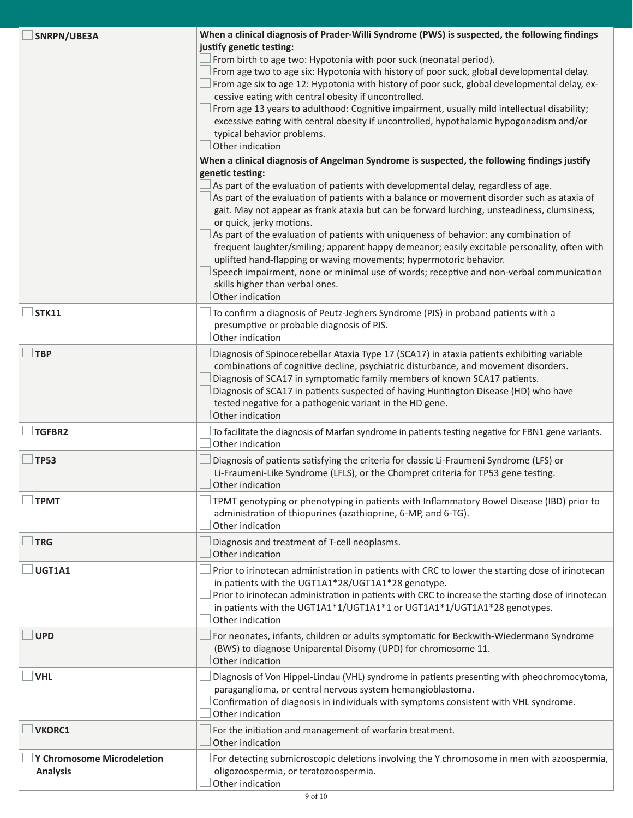| SNRPN/UBE3A                                   | When a clinical diagnosis of Prader-Willi Syndrome (PWS) is suspected, the following findings<br>justify genetic testing:<br>From birth to age two: Hypotonia with poor suck (neonatal period).<br>From age two to age six: Hypotonia with history of poor suck, global developmental delay.<br>From age six to age 12: Hypotonia with history of poor suck, global developmental delay, ex-<br>cessive eating with central obesity if uncontrolled.<br>From age 13 years to adulthood: Cognitive impairment, usually mild intellectual disability;<br>excessive eating with central obesity if uncontrolled, hypothalamic hypogonadism and/or<br>typical behavior problems.<br>Other indication<br>When a clinical diagnosis of Angelman Syndrome is suspected, the following findings justify<br>genetic testing:<br>As part of the evaluation of patients with developmental delay, regardless of age.<br>$\Box$ As part of the evaluation of patients with a balance or movement disorder such as ataxia of<br>gait. May not appear as frank ataxia but can be forward lurching, unsteadiness, clumsiness,<br>or quick, jerky motions.<br>As part of the evaluation of patients with uniqueness of behavior: any combination of<br>frequent laughter/smiling; apparent happy demeanor; easily excitable personality, often with |
|-----------------------------------------------|-------------------------------------------------------------------------------------------------------------------------------------------------------------------------------------------------------------------------------------------------------------------------------------------------------------------------------------------------------------------------------------------------------------------------------------------------------------------------------------------------------------------------------------------------------------------------------------------------------------------------------------------------------------------------------------------------------------------------------------------------------------------------------------------------------------------------------------------------------------------------------------------------------------------------------------------------------------------------------------------------------------------------------------------------------------------------------------------------------------------------------------------------------------------------------------------------------------------------------------------------------------------------------------------------------------------------------------|
|                                               | uplifted hand-flapping or waving movements; hypermotoric behavior.<br>Speech impairment, none or minimal use of words; receptive and non-verbal communication<br>skills higher than verbal ones.<br>Other indication                                                                                                                                                                                                                                                                                                                                                                                                                                                                                                                                                                                                                                                                                                                                                                                                                                                                                                                                                                                                                                                                                                                |
| <b>STK11</b>                                  | To confirm a diagnosis of Peutz-Jeghers Syndrome (PJS) in proband patients with a<br>presumptive or probable diagnosis of PJS.<br>Other indication                                                                                                                                                                                                                                                                                                                                                                                                                                                                                                                                                                                                                                                                                                                                                                                                                                                                                                                                                                                                                                                                                                                                                                                  |
| <b>TBP</b>                                    | Diagnosis of Spinocerebellar Ataxia Type 17 (SCA17) in ataxia patients exhibiting variable<br>combinations of cognitive decline, psychiatric disturbance, and movement disorders.<br>Diagnosis of SCA17 in symptomatic family members of known SCA17 patients.<br>Diagnosis of SCA17 in patients suspected of having Huntington Disease (HD) who have<br>tested negative for a pathogenic variant in the HD gene.<br>Other indication                                                                                                                                                                                                                                                                                                                                                                                                                                                                                                                                                                                                                                                                                                                                                                                                                                                                                               |
| <b>TGFBR2</b>                                 | To facilitate the diagnosis of Marfan syndrome in patients testing negative for FBN1 gene variants.<br>Other indication                                                                                                                                                                                                                                                                                                                                                                                                                                                                                                                                                                                                                                                                                                                                                                                                                                                                                                                                                                                                                                                                                                                                                                                                             |
| <b>TP53</b>                                   | Diagnosis of patients satisfying the criteria for classic Li-Fraumeni Syndrome (LFS) or<br>Li-Fraumeni-Like Syndrome (LFLS), or the Chompret criteria for TP53 gene testing.<br>Other indication                                                                                                                                                                                                                                                                                                                                                                                                                                                                                                                                                                                                                                                                                                                                                                                                                                                                                                                                                                                                                                                                                                                                    |
| <b>TPMT</b>                                   | TPMT genotyping or phenotyping in patients with Inflammatory Bowel Disease (IBD) prior to<br>administration of thiopurines (azathioprine, 6-MP, and 6-TG).<br>Other indication                                                                                                                                                                                                                                                                                                                                                                                                                                                                                                                                                                                                                                                                                                                                                                                                                                                                                                                                                                                                                                                                                                                                                      |
| <b>TRG</b>                                    | Diagnosis and treatment of T-cell neoplasms.<br>Other indication                                                                                                                                                                                                                                                                                                                                                                                                                                                                                                                                                                                                                                                                                                                                                                                                                                                                                                                                                                                                                                                                                                                                                                                                                                                                    |
| UGT1A1                                        | Prior to irinotecan administration in patients with CRC to lower the starting dose of irinotecan<br>in patients with the UGT1A1*28/UGT1A1*28 genotype.<br>Prior to irinotecan administration in patients with CRC to increase the starting dose of irinotecan<br>in patients with the UGT1A1*1/UGT1A1*1 or UGT1A1*1/UGT1A1*28 genotypes.<br>Other indication                                                                                                                                                                                                                                                                                                                                                                                                                                                                                                                                                                                                                                                                                                                                                                                                                                                                                                                                                                        |
| <b>UPD</b>                                    | For neonates, infants, children or adults symptomatic for Beckwith-Wiedermann Syndrome<br>(BWS) to diagnose Uniparental Disomy (UPD) for chromosome 11.<br>Other indication                                                                                                                                                                                                                                                                                                                                                                                                                                                                                                                                                                                                                                                                                                                                                                                                                                                                                                                                                                                                                                                                                                                                                         |
| <b>VHL</b>                                    | Diagnosis of Von Hippel-Lindau (VHL) syndrome in patients presenting with pheochromocytoma,<br>paraganglioma, or central nervous system hemangioblastoma.<br>Confirmation of diagnosis in individuals with symptoms consistent with VHL syndrome.<br>Other indication                                                                                                                                                                                                                                                                                                                                                                                                                                                                                                                                                                                                                                                                                                                                                                                                                                                                                                                                                                                                                                                               |
| <b>VKORC1</b>                                 | For the initiation and management of warfarin treatment.<br>Other indication                                                                                                                                                                                                                                                                                                                                                                                                                                                                                                                                                                                                                                                                                                                                                                                                                                                                                                                                                                                                                                                                                                                                                                                                                                                        |
| Y Chromosome Microdeletion<br><b>Analysis</b> | For detecting submicroscopic deletions involving the Y chromosome in men with azoospermia,<br>oligozoospermia, or teratozoospermia.<br>Other indication                                                                                                                                                                                                                                                                                                                                                                                                                                                                                                                                                                                                                                                                                                                                                                                                                                                                                                                                                                                                                                                                                                                                                                             |